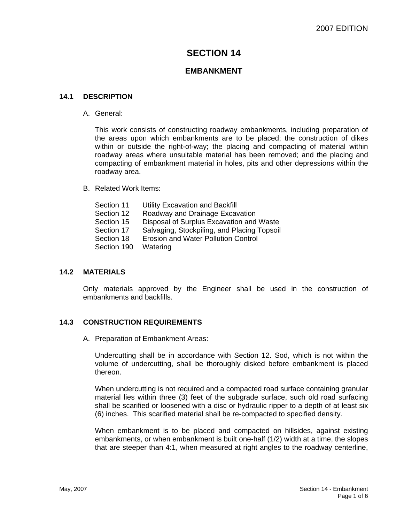# **SECTION 14**

## **EMBANKMENT**

#### **14.1 DESCRIPTION**

A. General:

This work consists of constructing roadway embankments, including preparation of the areas upon which embankments are to be placed; the construction of dikes within or outside the right-of-way; the placing and compacting of material within roadway areas where unsuitable material has been removed; and the placing and compacting of embankment material in holes, pits and other depressions within the roadway area.

B. Related Work Items:

| Utility Excavation and Backfill             |
|---------------------------------------------|
| Roadway and Drainage Excavation             |
| Disposal of Surplus Excavation and Waste    |
| Salvaging, Stockpiling, and Placing Topsoil |
| <b>Erosion and Water Pollution Control</b>  |
| Watering                                    |
|                                             |

#### **14.2 MATERIALS**

Only materials approved by the Engineer shall be used in the construction of embankments and backfills.

#### **14.3 CONSTRUCTION REQUIREMENTS**

A. Preparation of Embankment Areas:

Undercutting shall be in accordance with Section 12. Sod, which is not within the volume of undercutting, shall be thoroughly disked before embankment is placed thereon.

When undercutting is not required and a compacted road surface containing granular material lies within three (3) feet of the subgrade surface, such old road surfacing shall be scarified or loosened with a disc or hydraulic ripper to a depth of at least six (6) inches. This scarified material shall be re-compacted to specified density.

When embankment is to be placed and compacted on hillsides, against existing embankments, or when embankment is built one-half (1/2) width at a time, the slopes that are steeper than 4:1, when measured at right angles to the roadway centerline,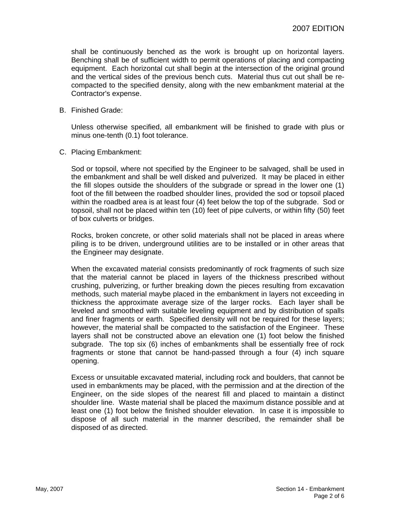shall be continuously benched as the work is brought up on horizontal layers. Benching shall be of sufficient width to permit operations of placing and compacting equipment. Each horizontal cut shall begin at the intersection of the original ground and the vertical sides of the previous bench cuts. Material thus cut out shall be recompacted to the specified density, along with the new embankment material at the Contractor's expense.

B. Finished Grade:

Unless otherwise specified, all embankment will be finished to grade with plus or minus one-tenth (0.1) foot tolerance.

C. Placing Embankment:

Sod or topsoil, where not specified by the Engineer to be salvaged, shall be used in the embankment and shall be well disked and pulverized. It may be placed in either the fill slopes outside the shoulders of the subgrade or spread in the lower one (1) foot of the fill between the roadbed shoulder lines, provided the sod or topsoil placed within the roadbed area is at least four (4) feet below the top of the subgrade. Sod or topsoil, shall not be placed within ten (10) feet of pipe culverts, or within fifty (50) feet of box culverts or bridges.

Rocks, broken concrete, or other solid materials shall not be placed in areas where piling is to be driven, underground utilities are to be installed or in other areas that the Engineer may designate.

When the excavated material consists predominantly of rock fragments of such size that the material cannot be placed in layers of the thickness prescribed without crushing, pulverizing, or further breaking down the pieces resulting from excavation methods, such material maybe placed in the embankment in layers not exceeding in thickness the approximate average size of the larger rocks. Each layer shall be leveled and smoothed with suitable leveling equipment and by distribution of spalls and finer fragments or earth. Specified density will not be required for these layers; however, the material shall be compacted to the satisfaction of the Engineer. These layers shall not be constructed above an elevation one (1) foot below the finished subgrade. The top six (6) inches of embankments shall be essentially free of rock fragments or stone that cannot be hand-passed through a four (4) inch square opening.

Excess or unsuitable excavated material, including rock and boulders, that cannot be used in embankments may be placed, with the permission and at the direction of the Engineer, on the side slopes of the nearest fill and placed to maintain a distinct shoulder line. Waste material shall be placed the maximum distance possible and at least one (1) foot below the finished shoulder elevation. In case it is impossible to dispose of all such material in the manner described, the remainder shall be disposed of as directed.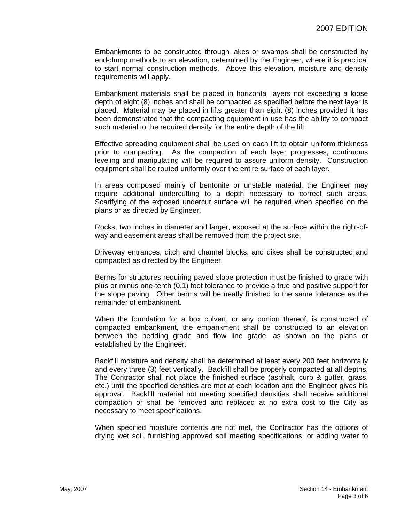Embankments to be constructed through lakes or swamps shall be constructed by end-dump methods to an elevation, determined by the Engineer, where it is practical to start normal construction methods. Above this elevation, moisture and density requirements will apply.

Embankment materials shall be placed in horizontal layers not exceeding a loose depth of eight (8) inches and shall be compacted as specified before the next layer is placed. Material may be placed in lifts greater than eight (8) inches provided it has been demonstrated that the compacting equipment in use has the ability to compact such material to the required density for the entire depth of the lift.

Effective spreading equipment shall be used on each lift to obtain uniform thickness prior to compacting. As the compaction of each layer progresses, continuous leveling and manipulating will be required to assure uniform density. Construction equipment shall be routed uniformly over the entire surface of each layer.

In areas composed mainly of bentonite or unstable material, the Engineer may require additional undercutting to a depth necessary to correct such areas. Scarifying of the exposed undercut surface will be required when specified on the plans or as directed by Engineer.

Rocks, two inches in diameter and larger, exposed at the surface within the right-ofway and easement areas shall be removed from the project site.

Driveway entrances, ditch and channel blocks, and dikes shall be constructed and compacted as directed by the Engineer.

Berms for structures requiring paved slope protection must be finished to grade with plus or minus one-tenth (0.1) foot tolerance to provide a true and positive support for the slope paving. Other berms will be neatly finished to the same tolerance as the remainder of embankment.

When the foundation for a box culvert, or any portion thereof, is constructed of compacted embankment, the embankment shall be constructed to an elevation between the bedding grade and flow line grade, as shown on the plans or established by the Engineer.

Backfill moisture and density shall be determined at least every 200 feet horizontally and every three (3) feet vertically. Backfill shall be properly compacted at all depths. The Contractor shall not place the finished surface (asphalt, curb & gutter, grass, etc.) until the specified densities are met at each location and the Engineer gives his approval. Backfill material not meeting specified densities shall receive additional compaction or shall be removed and replaced at no extra cost to the City as necessary to meet specifications.

When specified moisture contents are not met, the Contractor has the options of drying wet soil, furnishing approved soil meeting specifications, or adding water to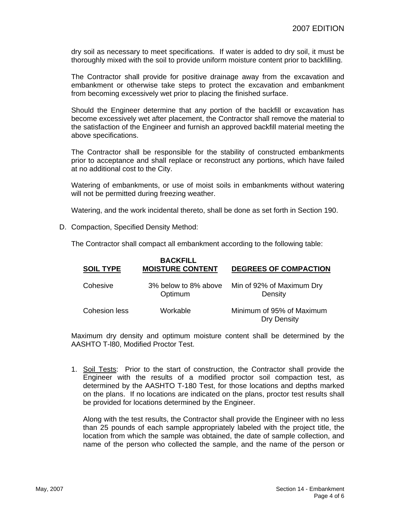dry soil as necessary to meet specifications. If water is added to dry soil, it must be thoroughly mixed with the soil to provide uniform moisture content prior to backfilling.

The Contractor shall provide for positive drainage away from the excavation and embankment or otherwise take steps to protect the excavation and embankment from becoming excessively wet prior to placing the finished surface.

Should the Engineer determine that any portion of the backfill or excavation has become excessively wet after placement, the Contractor shall remove the material to the satisfaction of the Engineer and furnish an approved backfill material meeting the above specifications.

The Contractor shall be responsible for the stability of constructed embankments prior to acceptance and shall replace or reconstruct any portions, which have failed at no additional cost to the City.

Watering of embankments, or use of moist soils in embankments without watering will not be permitted during freezing weather.

Watering, and the work incidental thereto, shall be done as set forth in Section 190.

D. Compaction, Specified Density Method:

The Contractor shall compact all embankment according to the following table:

| <b>SOIL TYPE</b> | <b>BACKFILL</b><br><b>MOISTURE CONTENT</b> | <b>DEGREES OF COMPACTION</b>             |
|------------------|--------------------------------------------|------------------------------------------|
| Cohesive         | 3% below to 8% above<br>Optimum            | Min of 92% of Maximum Dry<br>Density     |
| Cohesion less    | Workable                                   | Minimum of 95% of Maximum<br>Dry Density |

Maximum dry density and optimum moisture content shall be determined by the AASHTO T-l80, Modified Proctor Test.

1. Soil Tests: Prior to the start of construction, the Contractor shall provide the Engineer with the results of a modified proctor soil compaction test, as determined by the AASHTO T-180 Test, for those locations and depths marked on the plans. If no locations are indicated on the plans, proctor test results shall be provided for locations determined by the Engineer.

Along with the test results, the Contractor shall provide the Engineer with no less than 25 pounds of each sample appropriately labeled with the project title, the location from which the sample was obtained, the date of sample collection, and name of the person who collected the sample, and the name of the person or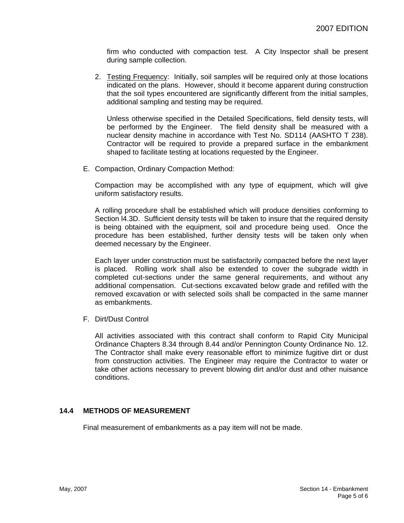firm who conducted with compaction test. A City Inspector shall be present during sample collection.

2. Testing Frequency: Initially, soil samples will be required only at those locations indicated on the plans. However, should it become apparent during construction that the soil types encountered are significantly different from the initial samples, additional sampling and testing may be required.

Unless otherwise specified in the Detailed Specifications, field density tests, will be performed by the Engineer. The field density shall be measured with a nuclear density machine in accordance with Test No. SD114 (AASHTO T 238). Contractor will be required to provide a prepared surface in the embankment shaped to facilitate testing at locations requested by the Engineer.

E. Compaction, Ordinary Compaction Method:

Compaction may be accomplished with any type of equipment, which will give uniform satisfactory results.

A rolling procedure shall be established which will produce densities conforming to Section l4.3D. Sufficient density tests will be taken to insure that the required density is being obtained with the equipment, soil and procedure being used. Once the procedure has been established, further density tests will be taken only when deemed necessary by the Engineer.

Each layer under construction must be satisfactorily compacted before the next layer is placed. Rolling work shall also be extended to cover the subgrade width in completed cut-sections under the same general requirements, and without any additional compensation. Cut-sections excavated below grade and refilled with the removed excavation or with selected soils shall be compacted in the same manner as embankments.

F. Dirt/Dust Control

All activities associated with this contract shall conform to Rapid City Municipal Ordinance Chapters 8.34 through 8.44 and/or Pennington County Ordinance No. 12. The Contractor shall make every reasonable effort to minimize fugitive dirt or dust from construction activities. The Engineer may require the Contractor to water or take other actions necessary to prevent blowing dirt and/or dust and other nuisance conditions.

#### **14.4 METHODS OF MEASUREMENT**

Final measurement of embankments as a pay item will not be made.